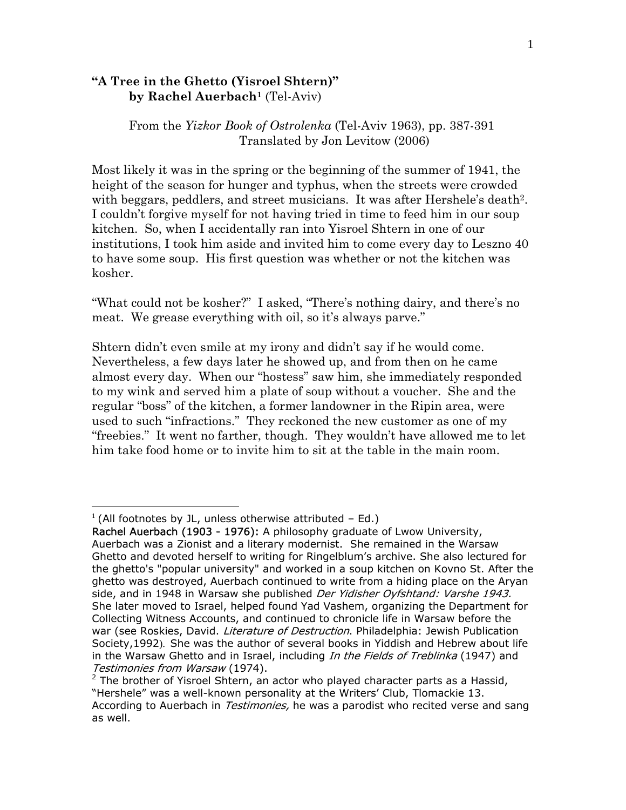## **"A Tree in the Ghetto (Yisroel Shtern)" by Rachel Auerbac[h1](#page-0-0)** (Tel-Aviv)

From the *Yizkor Book of Ostrolenka* (Tel-Aviv 1963), pp. 387-391 Translated by Jon Levitow (2006)

Most likely it was in the spring or the beginning of the summer of 1941, the height of the season for hunger and typhus, when the streets were crowded with beggars, peddlers, and street musicians. It was after Hershele's death<sup>2</sup>. I couldn't forgive myself for not having tried in time to feed him in our soup kitchen. So, when I accidentally ran into Yisroel Shtern in one of our institutions, I took him aside and invited him to come every day to Leszno 40 to have some soup. His first question was whether or not the kitchen was kosher.

"What could not be kosher?" I asked, "There's nothing dairy, and there's no meat. We grease everything with oil, so it's always parve."

Shtern didn't even smile at my irony and didn't say if he would come. Nevertheless, a few days later he showed up, and from then on he came almost every day. When our "hostess" saw him, she immediately responded to my wink and served him a plate of soup without a voucher. She and the regular "boss" of the kitchen, a former landowner in the Ripin area, were used to such "infractions." They reckoned the new customer as one of my "freebies." It went no farther, though. They wouldn't have allowed me to let him take food home or to invite him to sit at the table in the main room.

<u>.</u>

<span id="page-0-0"></span> $1$  (All footnotes by JL, unless otherwise attributed - Ed.)

Rachel Auerbach (1903 - 1976): A philosophy graduate of Lwow University, Auerbach was a Zionist and a literary modernist. She remained in the Warsaw Ghetto and devoted herself to writing for Ringelblum's archive. She also lectured for the ghetto's "popular university" and worked in a soup kitchen on Kovno St. After the ghetto was destroyed, Auerbach continued to write from a hiding place on the Aryan side, and in 1948 in Warsaw she published Der Yidisher Oyfshtand: Varshe 1943. She later moved to Israel, helped found Yad Vashem, organizing the Department for Collecting Witness Accounts, and continued to chronicle life in Warsaw before the war (see Roskies, David. Literature of Destruction. Philadelphia: Jewish Publication Society,1992). She was the author of several books in Yiddish and Hebrew about life in the Warsaw Ghetto and in Israel, including In the Fields of Treblinka (1947) and Testimonies from Warsaw (1974).

<span id="page-0-1"></span> $2$  The brother of Yisroel Shtern, an actor who played character parts as a Hassid, "Hershele" was a well-known personality at the Writers' Club, Tlomackie 13. According to Auerbach in *Testimonies*, he was a parodist who recited verse and sang as well.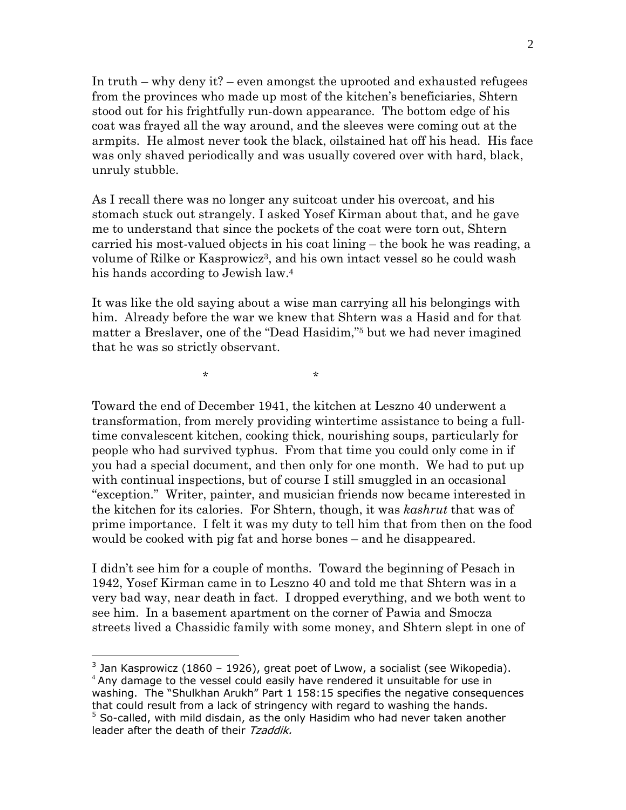In truth – why deny it? – even amongst the uprooted and exhausted refugees from the provinces who made up most of the kitchen's beneficiaries, Shtern stood out for his frightfully run-down appearance. The bottom edge of his coat was frayed all the way around, and the sleeves were coming out at the armpits. He almost never took the black, oilstained hat off his head. His face was only shaved periodically and was usually covered over with hard, black, unruly stubble.

As I recall there was no longer any suitcoat under his overcoat, and his stomach stuck out strangely. I asked Yosef Kirman about that, and he gave me to understand that since the pockets of the coat were torn out, Shtern carried his most-valued objects in his coat lining – the book he was reading, a volume of Rilke or Kasprowic[z3,](#page-1-0) and his own intact vessel so he could wash his hands according to Jewish law.[4](#page-1-1) 

It was like the old saying about a wise man carrying all his belongings with him. Already before the war we knew that Shtern was a Hasid and for that matter a Breslaver, one of the "Dead Hasidim,"[5](#page-1-2) but we had never imagined that he was so strictly observant.

 $\star$  \* \* \*

 $\overline{a}$ 

Toward the end of December 1941, the kitchen at Leszno 40 underwent a transformation, from merely providing wintertime assistance to being a fulltime convalescent kitchen, cooking thick, nourishing soups, particularly for people who had survived typhus. From that time you could only come in if you had a special document, and then only for one month. We had to put up with continual inspections, but of course I still smuggled in an occasional "exception." Writer, painter, and musician friends now became interested in the kitchen for its calories. For Shtern, though, it was *kashrut* that was of prime importance. I felt it was my duty to tell him that from then on the food would be cooked with pig fat and horse bones – and he disappeared.

I didn't see him for a couple of months. Toward the beginning of Pesach in 1942, Yosef Kirman came in to Leszno 40 and told me that Shtern was in a very bad way, near death in fact. I dropped everything, and we both went to see him. In a basement apartment on the corner of Pawia and Smocza streets lived a Chassidic family with some money, and Shtern slept in one of

<span id="page-1-2"></span><span id="page-1-1"></span><span id="page-1-0"></span> $3$  Jan Kasprowicz (1860 – 1926), great poet of Lwow, a socialist (see Wikopedia). <sup>4</sup> Any damage to the vessel could easily have rendered it unsuitable for use in washing. The "Shulkhan Arukh" Part 1 158:15 specifies the negative consequences that could result from a lack of stringency with regard to washing the hands.  $5$  So-called, with mild disdain, as the only Hasidim who had never taken another leader after the death of their Tzaddik.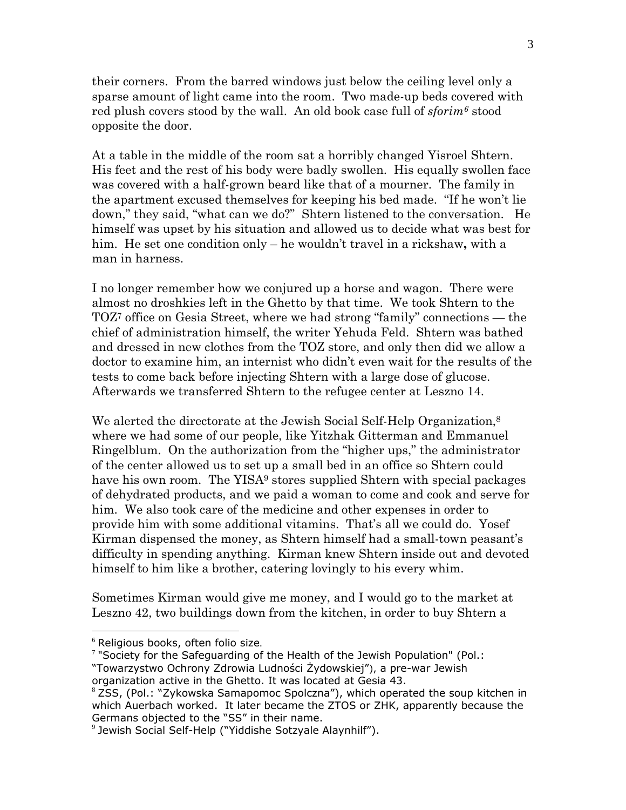their corners. From the barred windows just below the ceiling level only a sparse amount of light came into the room. Two made-up beds covered with red plush covers stood by the wall. An old book case full of *sforim[6](#page-2-0)* stood opposite the door.

At a table in the middle of the room sat a horribly changed Yisroel Shtern. His feet and the rest of his body were badly swollen. His equally swollen face was covered with a half-grown beard like that of a mourner. The family in the apartment excused themselves for keeping his bed made. "If he won't lie down," they said, "what can we do?" Shtern listened to the conversation. He himself was upset by his situation and allowed us to decide what was best for him. He set one condition only – he wouldn't travel in a rickshaw**,** with a man in harness.

I no longer remember how we conjured up a horse and wagon. There were almost no droshkies left in the Ghetto by that time. We took Shtern to the TOZ[7](#page-2-1) office on Gesia Street, where we had strong "family" connections — the chief of administration himself, the writer Yehuda Feld. Shtern was bathed and dressed in new clothes from the TOZ store, and only then did we allow a doctor to examine him, an internist who didn't even wait for the results of the tests to come back before injecting Shtern with a large dose of glucose. Afterwards we transferred Shtern to the refugee center at Leszno 14.

We alerted the directorate at the Jewish Social Self-Help Organization,<sup>8</sup> where we had some of our people, like Yitzhak Gitterman and Emmanuel Ringelblum. On the authorization from the "higher ups," the administrator of the center allowed us to set up a small bed in an office so Shtern could have his own room. The YISA<sup>9</sup> stores supplied Shtern with special packages of dehydrated products, and we paid a woman to come and cook and serve for him. We also took care of the medicine and other expenses in order to provide him with some additional vitamins. That's all we could do. Yosef Kirman dispensed the money, as Shtern himself had a small-town peasant's difficulty in spending anything. Kirman knew Shtern inside out and devoted himself to him like a brother, catering lovingly to his every whim.

Sometimes Kirman would give me money, and I would go to the market at Leszno 42, two buildings down from the kitchen, in order to buy Shtern a

 $\overline{a}$ 

 $^6$  Religious books, often folio size.<br>7 "Society for the Safeguarding of the Health of the Jewish Population" (Pol.: "Towarzystwo Ochrony Zdrowia Ludności Żydowskiej"), a pre-war Jewish

<span id="page-2-1"></span><span id="page-2-0"></span>

organization active in the Ghetto. It was located at Gesia 43.

<span id="page-2-2"></span> $8$  ZSS, (Pol.:  $\sqrt{2}$ ykowska Samapomoc Spolczna"), which operated the soup kitchen in which Auerbach worked. It later became the ZTOS or ZHK, apparently because the Germans objected to the "SS" in their name.

<span id="page-2-3"></span><sup>9</sup> Jewish Social Self-Help ("Yiddishe Sotzyale Alaynhilf").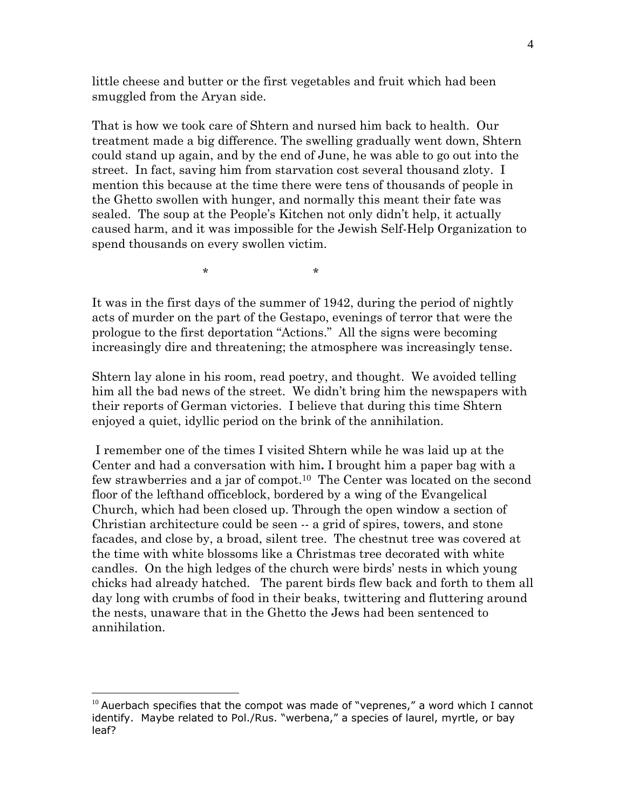little cheese and butter or the first vegetables and fruit which had been smuggled from the Aryan side.

That is how we took care of Shtern and nursed him back to health. Our treatment made a big difference. The swelling gradually went down, Shtern could stand up again, and by the end of June, he was able to go out into the street. In fact, saving him from starvation cost several thousand zloty. I mention this because at the time there were tens of thousands of people in the Ghetto swollen with hunger, and normally this meant their fate was sealed. The soup at the People's Kitchen not only didn't help, it actually caused harm, and it was impossible for the Jewish Self-Help Organization to spend thousands on every swollen victim.

 $\star$  \* \* \*

It was in the first days of the summer of 1942, during the period of nightly acts of murder on the part of the Gestapo, evenings of terror that were the prologue to the first deportation "Actions." All the signs were becoming increasingly dire and threatening; the atmosphere was increasingly tense.

Shtern lay alone in his room, read poetry, and thought. We avoided telling him all the bad news of the street. We didn't bring him the newspapers with their reports of German victories. I believe that during this time Shtern enjoyed a quiet, idyllic period on the brink of the annihilation.

 I remember one of the times I visited Shtern while he was laid up at the Center and had a conversation with him**.** I brought him a paper bag with a few strawberries and a jar of compot.[10](#page-3-0) The Center was located on the second floor of the lefthand officeblock, bordered by a wing of the Evangelical Church, which had been closed up. Through the open window a section of Christian architecture could be seen -- a grid of spires, towers, and stone facades, and close by, a broad, silent tree. The chestnut tree was covered at the time with white blossoms like a Christmas tree decorated with white candles. On the high ledges of the church were birds' nests in which young chicks had already hatched. The parent birds flew back and forth to them all day long with crumbs of food in their beaks, twittering and fluttering around the nests, unaware that in the Ghetto the Jews had been sentenced to annihilation.

1

<span id="page-3-0"></span> $10$  Auerbach specifies that the compot was made of "veprenes," a word which I cannot identify. Maybe related to Pol./Rus. "werbena," a species of laurel, myrtle, or bay leaf?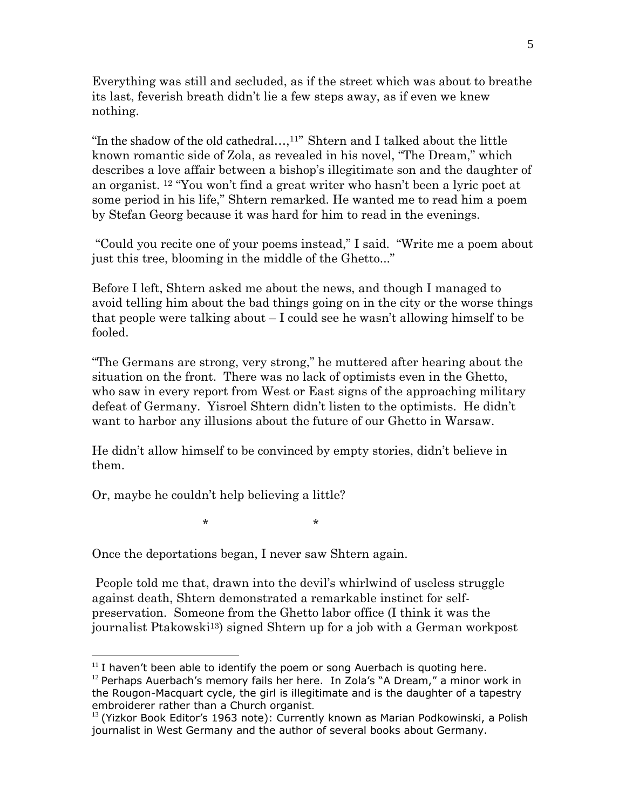Everything was still and secluded, as if the street which was about to breathe its last, feverish breath didn't lie a few steps away, as if even we knew nothing.

"In the shadow of the old cathedral...,<sup>[11"](#page-4-0)</sup> Shtern and I talked about the little known romantic side of Zola, as revealed in his novel, "The Dream," which describes a love affair between a bishop's illegitimate son and the daughter of an organist. [12](#page-4-1) "You won't find a great writer who hasn't been a lyric poet at some period in his life," Shtern remarked. He wanted me to read him a poem by Stefan Georg because it was hard for him to read in the evenings.

 "Could you recite one of your poems instead," I said. "Write me a poem about just this tree, blooming in the middle of the Ghetto..."

Before I left, Shtern asked me about the news, and though I managed to avoid telling him about the bad things going on in the city or the worse things that people were talking about  $-I$  could see he wasn't allowing himself to be fooled.

"The Germans are strong, very strong," he muttered after hearing about the situation on the front. There was no lack of optimists even in the Ghetto, who saw in every report from West or East signs of the approaching military defeat of Germany. Yisroel Shtern didn't listen to the optimists. He didn't want to harbor any illusions about the future of our Ghetto in Warsaw.

He didn't allow himself to be convinced by empty stories, didn't believe in them.

Or, maybe he couldn't help believing a little?

 $\overline{a}$ 

 $\star$  \* \* \*

Once the deportations began, I never saw Shtern again.

 People told me that, drawn into the devil's whirlwind of useless struggle against death, Shtern demonstrated a remarkable instinct for selfpreservation. Someone from the Ghetto labor office (I think it was the journalist Ptakowski[13\)](#page-4-2) signed Shtern up for a job with a German workpost

<span id="page-4-0"></span> $11$  I haven't been able to identify the poem or song Auerbach is quoting here.

<span id="page-4-1"></span> $12$  Perhaps Auerbach's memory fails her here. In Zola's "A Dream," a minor work in the Rougon-Macquart cycle, the girl is illegitimate and is the daughter of a tapestry embroiderer rather than a Church organist.

<span id="page-4-2"></span> $13$  (Yizkor Book Editor's 1963 note): Currently known as Marian Podkowinski, a Polish journalist in West Germany and the author of several books about Germany.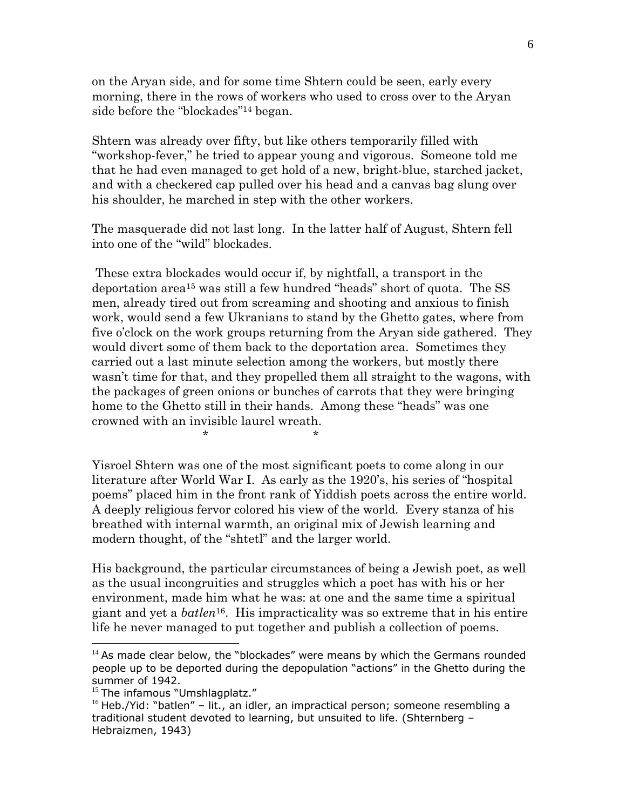on the Aryan side, and for some time Shtern could be seen, early every morning, there in the rows of workers who used to cross over to the Aryan side before the "blockades"[14](#page-5-0) began.

Shtern was already over fifty, but like others temporarily filled with "workshop-fever," he tried to appear young and vigorous. Someone told me that he had even managed to get hold of a new, bright-blue, starched jacket, and with a checkered cap pulled over his head and a canvas bag slung over his shoulder, he marched in step with the other workers.

The masquerade did not last long. In the latter half of August, Shtern fell into one of the "wild" blockades.

 These extra blockades would occur if, by nightfall, a transport in the deportation are[a15](#page-5-1) was still a few hundred "heads" short of quota. The SS men, already tired out from screaming and shooting and anxious to finish work, would send a few Ukranians to stand by the Ghetto gates, where from five o'clock on the work groups returning from the Aryan side gathered. They would divert some of them back to the deportation area. Sometimes they carried out a last minute selection among the workers, but mostly there wasn't time for that, and they propelled them all straight to the wagons, with the packages of green onions or bunches of carrots that they were bringing home to the Ghetto still in their hands. Among these "heads" was one crowned with an invisible laurel wreath.

Yisroel Shtern was one of the most significant poets to come along in our literature after World War I. As early as the 1920's, his series of "hospital poems" placed him in the front rank of Yiddish poets across the entire world. A deeply religious fervor colored his view of the world. Every stanza of his breathed with internal warmth, an original mix of Jewish learning and modern thought, of the "shtetl" and the larger world.

His background, the particular circumstances of being a Jewish poet, as well as the usual incongruities and struggles which a poet has with his or her environment, made him what he was: at one and the same time a spiritual giant and yet a *batlen*[16.](#page-5-2) His impracticality was so extreme that in his entire life he never managed to put together and publish a collection of poems.

 $\overline{a}$ 

 $\star$  \* \* \*

<span id="page-5-0"></span> $14$  As made clear below, the "blockades" were means by which the Germans rounded people up to be deported during the depopulation "actions" in the Ghetto during the summer of 1942.

<span id="page-5-1"></span><sup>&</sup>lt;sup>15</sup> The infamous "Umshlagplatz."

<span id="page-5-2"></span> $16$  Heb./Yid: "batlen" – lit., an idler, an impractical person; someone resembling a traditional student devoted to learning, but unsuited to life. (Shternberg – Hebraizmen, 1943)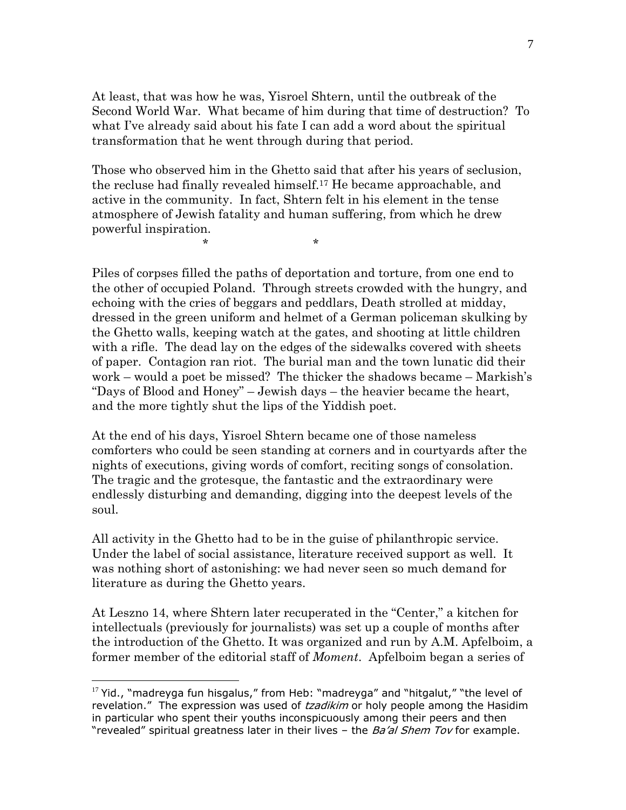At least, that was how he was, Yisroel Shtern, until the outbreak of the Second World War. What became of him during that time of destruction? To what I've already said about his fate I can add a word about the spiritual transformation that he went through during that period.

Those who observed him in the Ghetto said that after his years of seclusion, the recluse had finally revealed himself[.17](#page-6-0) He became approachable, and active in the community. In fact, Shtern felt in his element in the tense atmosphere of Jewish fatality and human suffering, from which he drew powerful inspiration.

 $\star$  \* \* \*

 $\overline{a}$ 

Piles of corpses filled the paths of deportation and torture, from one end to the other of occupied Poland. Through streets crowded with the hungry, and echoing with the cries of beggars and peddlars, Death strolled at midday, dressed in the green uniform and helmet of a German policeman skulking by the Ghetto walls, keeping watch at the gates, and shooting at little children with a rifle. The dead lay on the edges of the sidewalks covered with sheets of paper. Contagion ran riot. The burial man and the town lunatic did their work – would a poet be missed? The thicker the shadows became – Markish's "Days of Blood and Honey" – Jewish days – the heavier became the heart, and the more tightly shut the lips of the Yiddish poet.

At the end of his days, Yisroel Shtern became one of those nameless comforters who could be seen standing at corners and in courtyards after the nights of executions, giving words of comfort, reciting songs of consolation. The tragic and the grotesque, the fantastic and the extraordinary were endlessly disturbing and demanding, digging into the deepest levels of the soul.

All activity in the Ghetto had to be in the guise of philanthropic service. Under the label of social assistance, literature received support as well. It was nothing short of astonishing: we had never seen so much demand for literature as during the Ghetto years.

At Leszno 14, where Shtern later recuperated in the "Center," a kitchen for intellectuals (previously for journalists) was set up a couple of months after the introduction of the Ghetto. It was organized and run by A.M. Apfelboim, a former member of the editorial staff of *Moment*. Apfelboim began a series of

<span id="page-6-0"></span> $17$  Yid., "madreyga fun hisgalus," from Heb: "madreyga" and "hitgalut," "the level of revelation." The expression was used of tzadikim or holy people among the Hasidim in particular who spent their youths inconspicuously among their peers and then "revealed" spiritual greatness later in their lives - the *Ba'al Shem Tov* for example.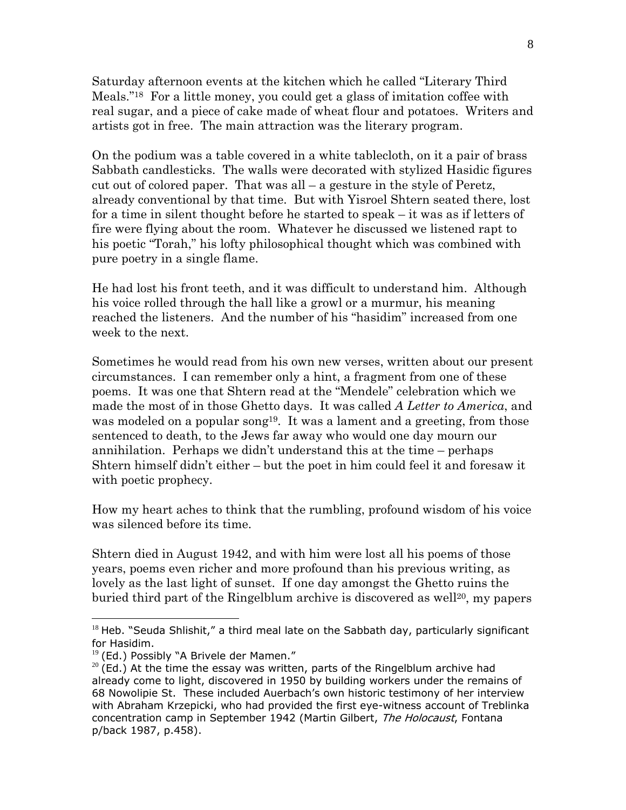Saturday afternoon events at the kitchen which he called "Literary Third Meals.["18](#page-7-0) For a little money, you could get a glass of imitation coffee with real sugar, and a piece of cake made of wheat flour and potatoes. Writers and artists got in free. The main attraction was the literary program.

On the podium was a table covered in a white tablecloth, on it a pair of brass Sabbath candlesticks. The walls were decorated with stylized Hasidic figures cut out of colored paper. That was all – a gesture in the style of Peretz, already conventional by that time. But with Yisroel Shtern seated there, lost for a time in silent thought before he started to speak – it was as if letters of fire were flying about the room. Whatever he discussed we listened rapt to his poetic "Torah," his lofty philosophical thought which was combined with pure poetry in a single flame.

He had lost his front teeth, and it was difficult to understand him. Although his voice rolled through the hall like a growl or a murmur, his meaning reached the listeners. And the number of his "hasidim" increased from one week to the next.

Sometimes he would read from his own new verses, written about our present circumstances. I can remember only a hint, a fragment from one of these poems. It was one that Shtern read at the "Mendele" celebration which we made the most of in those Ghetto days. It was called *A Letter to America*, and was modeled on a popular song<sup>19</sup>. It was a lament and a greeting, from those sentenced to death, to the Jews far away who would one day mourn our annihilation. Perhaps we didn't understand this at the time – perhaps Shtern himself didn't either – but the poet in him could feel it and foresaw it with poetic prophecy.

How my heart aches to think that the rumbling, profound wisdom of his voice was silenced before its time.

Shtern died in August 1942, and with him were lost all his poems of those years, poems even richer and more profound than his previous writing, as lovely as the last light of sunset. If one day amongst the Ghetto ruins the buried third part of the Ringelblum archive is discovered as well<sup>20</sup>, my papers

 $\overline{a}$ 

<span id="page-7-0"></span> $18$  Heb. "Seuda Shlishit," a third meal late on the Sabbath day, particularly significant for Hasidim.

<span id="page-7-1"></span> $19$  (Ed.) Possibly "A Brivele der Mamen."

<span id="page-7-2"></span> $20$  (Ed.) At the time the essay was written, parts of the Ringelblum archive had already come to light, discovered in 1950 by building workers under the remains of 68 Nowolipie St. These included Auerbach's own historic testimony of her interview with Abraham Krzepicki, who had provided the first eye-witness account of Treblinka concentration camp in September 1942 (Martin Gilbert, The Holocaust, Fontana p/back 1987, p.458).